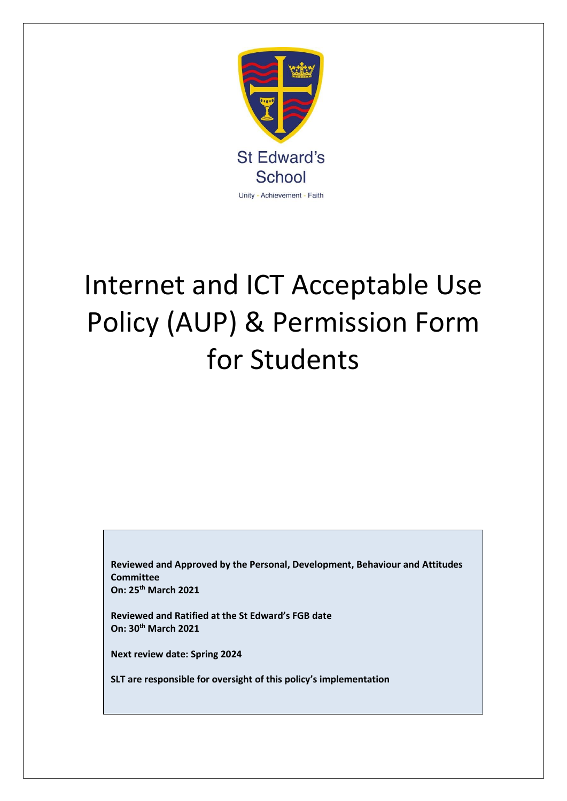

# Internet and ICT Acceptable Use Policy (AUP) & Permission Form for Students

**Reviewed and Approved by the Personal, Development, Behaviour and Attitudes Committee On: 25th March 2021**

**Reviewed and Ratified at the St Edward's FGB date On: 30th March 2021**

**Next review date: Spring 2024**

**SLT are responsible for oversight of this policy's implementation**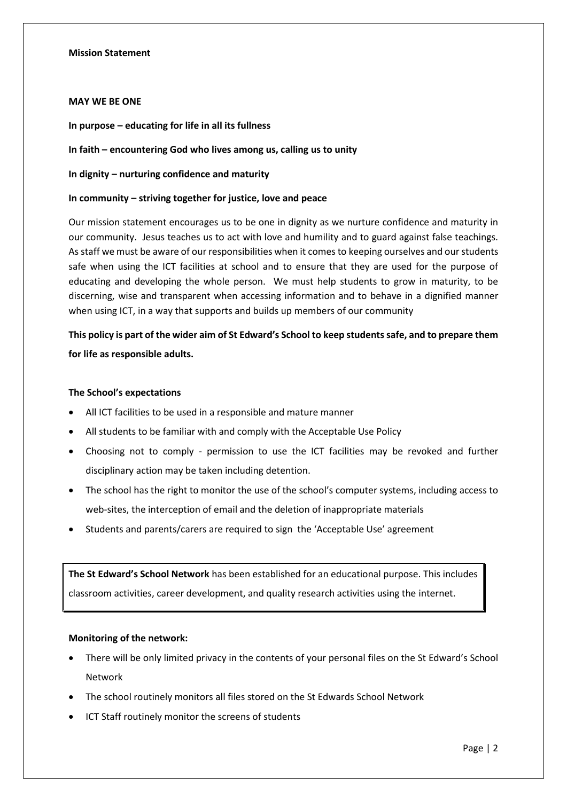#### **Mission Statement**

#### **MAY WE BE ONE**

**In purpose – educating for life in all its fullness**

#### **In faith – encountering God who lives among us, calling us to unity**

**In dignity – nurturing confidence and maturity**

### **In community – striving together for justice, love and peace**

Our mission statement encourages us to be one in dignity as we nurture confidence and maturity in our community. Jesus teaches us to act with love and humility and to guard against false teachings. As staff we must be aware of our responsibilities when it comes to keeping ourselves and our students safe when using the ICT facilities at school and to ensure that they are used for the purpose of educating and developing the whole person. We must help students to grow in maturity, to be discerning, wise and transparent when accessing information and to behave in a dignified manner when using ICT, in a way that supports and builds up members of our community

# **This policy is part of the wider aim of St Edward's School to keep students safe, and to prepare them for life as responsible adults.**

#### **The School's expectations**

- All ICT facilities to be used in a responsible and mature manner
- All students to be familiar with and comply with the Acceptable Use Policy
- Choosing not to comply permission to use the ICT facilities may be revoked and further disciplinary action may be taken including detention.
- The school has the right to monitor the use of the school's computer systems, including access to web-sites, the interception of email and the deletion of inappropriate materials
- Students and parents/carers are required to sign the 'Acceptable Use' agreement

**The St Edward's School Network** has been established for an educational purpose. This includes classroom activities, career development, and quality research activities using the internet.

#### **Monitoring of the network:**

- There will be only limited privacy in the contents of your personal files on the St Edward's School Network
- The school routinely monitors all files stored on the St Edwards School Network
- ICT Staff routinely monitor the screens of students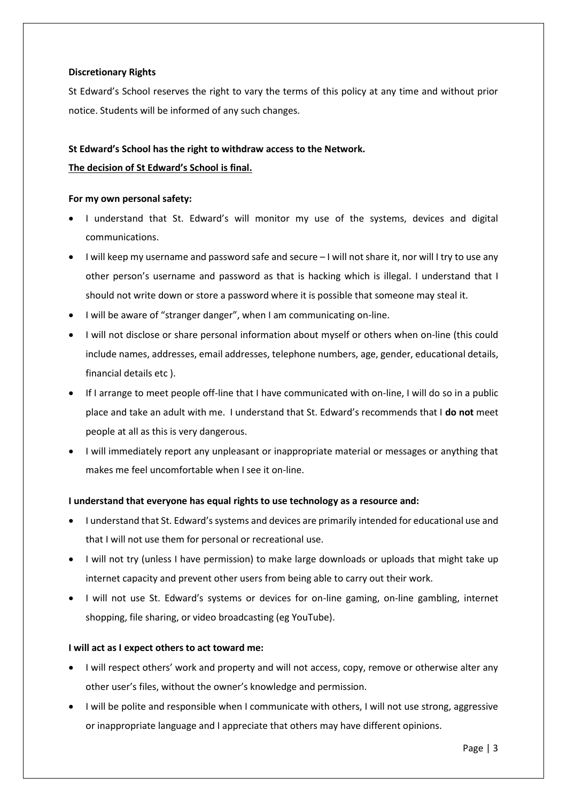## **Discretionary Rights**

St Edward's School reserves the right to vary the terms of this policy at any time and without prior notice. Students will be informed of any such changes.

## **St Edward's School has the right to withdraw access to the Network.**

## **The decision of St Edward's School is final.**

## **For my own personal safety:**

- I understand that St. Edward's will monitor my use of the systems, devices and digital communications.
- I will keep my username and password safe and secure I will not share it, nor will I try to use any other person's username and password as that is hacking which is illegal. I understand that I should not write down or store a password where it is possible that someone may steal it.
- I will be aware of "stranger danger", when I am communicating on-line.
- I will not disclose or share personal information about myself or others when on-line (this could include names, addresses, email addresses, telephone numbers, age, gender, educational details, financial details etc ).
- If I arrange to meet people off-line that I have communicated with on-line, I will do so in a public place and take an adult with me. I understand that St. Edward's recommends that I **do not** meet people at all as this is very dangerous.
- I will immediately report any unpleasant or inappropriate material or messages or anything that makes me feel uncomfortable when I see it on-line.

## **I understand that everyone has equal rights to use technology as a resource and:**

- I understand that St. Edward's systems and devices are primarily intended for educational use and that I will not use them for personal or recreational use.
- I will not try (unless I have permission) to make large downloads or uploads that might take up internet capacity and prevent other users from being able to carry out their work.
- I will not use St. Edward's systems or devices for on-line gaming, on-line gambling, internet shopping, file sharing, or video broadcasting (eg YouTube).

## **I will act as I expect others to act toward me:**

- I will respect others' work and property and will not access, copy, remove or otherwise alter any other user's files, without the owner's knowledge and permission.
- I will be polite and responsible when I communicate with others, I will not use strong, aggressive or inappropriate language and I appreciate that others may have different opinions.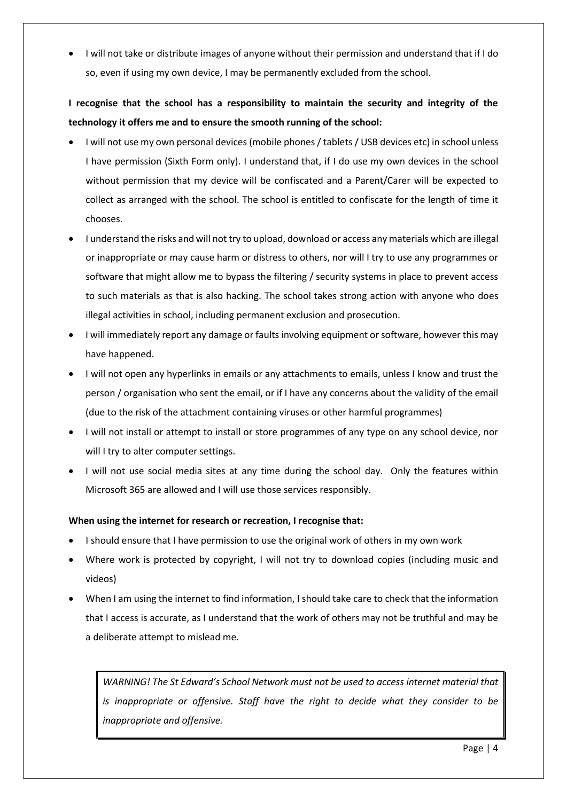• I will not take or distribute images of anyone without their permission and understand that if I do so, even if using my own device, I may be permanently excluded from the school.

# **I recognise that the school has a responsibility to maintain the security and integrity of the technology it offers me and to ensure the smooth running of the school:**

- I will not use my own personal devices (mobile phones/ tablets / USB devices etc) in school unless I have permission (Sixth Form only). I understand that, if I do use my own devices in the school without permission that my device will be confiscated and a Parent/Carer will be expected to collect as arranged with the school. The school is entitled to confiscate for the length of time it chooses.
- I understand the risks and will not try to upload, download or access any materials which are illegal or inappropriate or may cause harm or distress to others, nor will I try to use any programmes or software that might allow me to bypass the filtering / security systems in place to prevent access to such materials as that is also hacking. The school takes strong action with anyone who does illegal activities in school, including permanent exclusion and prosecution.
- I will immediately report any damage or faults involving equipment or software, however this may have happened.
- I will not open any hyperlinks in emails or any attachments to emails, unless I know and trust the person / organisation who sent the email, or if I have any concerns about the validity of the email (due to the risk of the attachment containing viruses or other harmful programmes)
- I will not install or attempt to install or store programmes of any type on any school device, nor will I try to alter computer settings.
- I will not use social media sites at any time during the school day. Only the features within Microsoft 365 are allowed and I will use those services responsibly.

## **When using the internet for research or recreation, I recognise that:**

- I should ensure that I have permission to use the original work of others in my own work
- Where work is protected by copyright, I will not try to download copies (including music and videos)
- When I am using the internet to find information, I should take care to check that the information that I access is accurate, as I understand that the work of others may not be truthful and may be a deliberate attempt to mislead me.

*WARNING! The St Edward's School Network must not be used to access internet material that is inappropriate or offensive. Staff have the right to decide what they consider to be inappropriate and offensive.*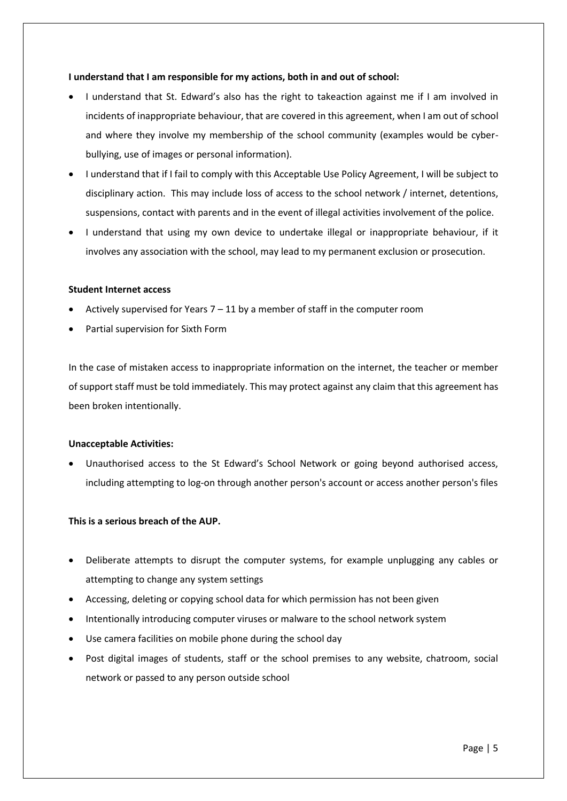## **I understand that I am responsible for my actions, both in and out of school:**

- I understand that St. Edward's also has the right to takeaction against me if I am involved in incidents of inappropriate behaviour, that are covered in this agreement, when I am out of school and where they involve my membership of the school community (examples would be cyberbullying, use of images or personal information).
- I understand that if I fail to comply with this Acceptable Use Policy Agreement, I will be subject to disciplinary action. This may include loss of access to the school network / internet, detentions, suspensions, contact with parents and in the event of illegal activities involvement of the police.
- I understand that using my own device to undertake illegal or inappropriate behaviour, if it involves any association with the school, may lead to my permanent exclusion or prosecution.

#### **Student Internet access**

- Actively supervised for Years 7 11 by a member of staff in the computer room
- Partial supervision for Sixth Form

In the case of mistaken access to inappropriate information on the internet, the teacher or member of support staff must be told immediately. This may protect against any claim that this agreement has been broken intentionally.

#### **Unacceptable Activities:**

• Unauthorised access to the St Edward's School Network or going beyond authorised access, including attempting to log-on through another person's account or access another person's files

#### **This is a serious breach of the AUP.**

- Deliberate attempts to disrupt the computer systems, for example unplugging any cables or attempting to change any system settings
- Accessing, deleting or copying school data for which permission has not been given
- Intentionally introducing computer viruses or malware to the school network system
- Use camera facilities on mobile phone during the school day
- Post digital images of students, staff or the school premises to any website, chatroom, social network or passed to any person outside school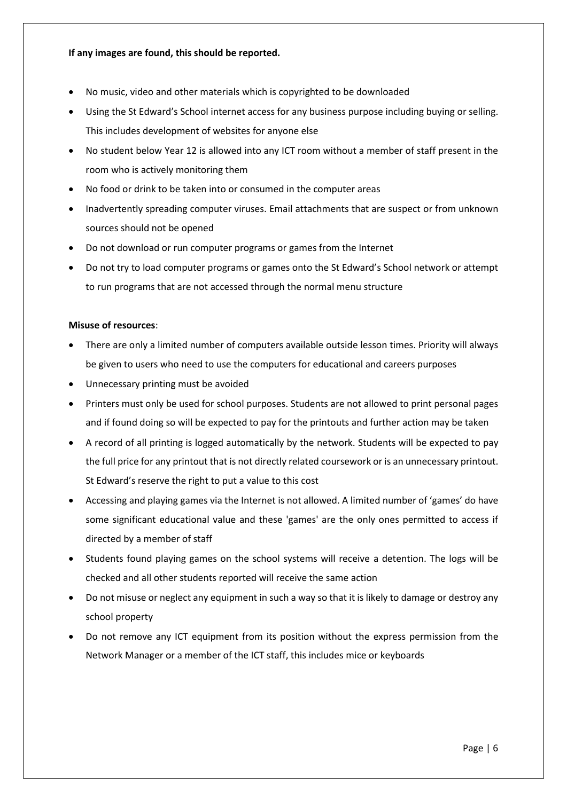## **If any images are found, this should be reported.**

- No music, video and other materials which is copyrighted to be downloaded
- Using the St Edward's School internet access for any business purpose including buying or selling. This includes development of websites for anyone else
- No student below Year 12 is allowed into any ICT room without a member of staff present in the room who is actively monitoring them
- No food or drink to be taken into or consumed in the computer areas
- Inadvertently spreading computer viruses. Email attachments that are suspect or from unknown sources should not be opened
- Do not download or run computer programs or games from the Internet
- Do not try to load computer programs or games onto the St Edward's School network or attempt to run programs that are not accessed through the normal menu structure

## **Misuse of resources**:

- There are only a limited number of computers available outside lesson times. Priority will always be given to users who need to use the computers for educational and careers purposes
- Unnecessary printing must be avoided
- Printers must only be used for school purposes. Students are not allowed to print personal pages and if found doing so will be expected to pay for the printouts and further action may be taken
- A record of all printing is logged automatically by the network. Students will be expected to pay the full price for any printout that is not directly related coursework or is an unnecessary printout. St Edward's reserve the right to put a value to this cost
- Accessing and playing games via the Internet is not allowed. A limited number of 'games' do have some significant educational value and these 'games' are the only ones permitted to access if directed by a member of staff
- Students found playing games on the school systems will receive a detention. The logs will be checked and all other students reported will receive the same action
- Do not misuse or neglect any equipment in such a way so that it is likely to damage or destroy any school property
- Do not remove any ICT equipment from its position without the express permission from the Network Manager or a member of the ICT staff, this includes mice or keyboards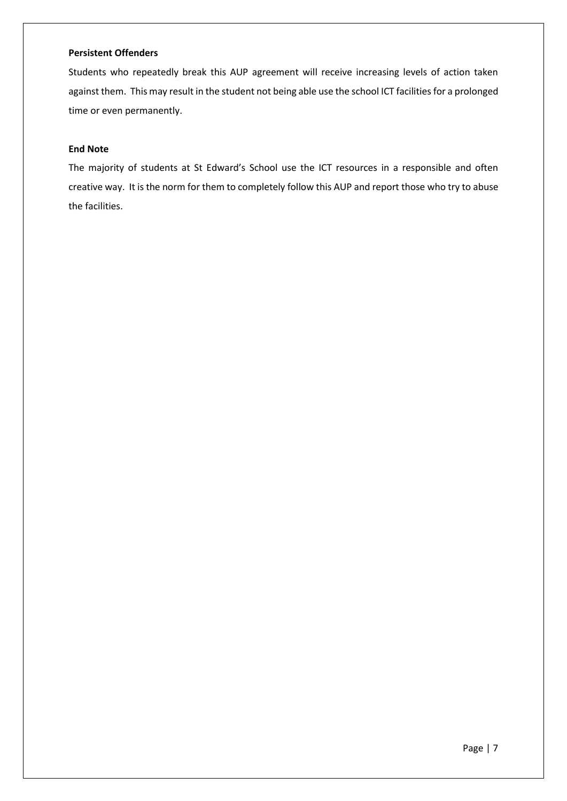## **Persistent Offenders**

Students who repeatedly break this AUP agreement will receive increasing levels of action taken against them. This may result in the student not being able use the school ICT facilities for a prolonged time or even permanently.

## **End Note**

The majority of students at St Edward's School use the ICT resources in a responsible and often creative way. It is the norm for them to completely follow this AUP and report those who try to abuse the facilities.